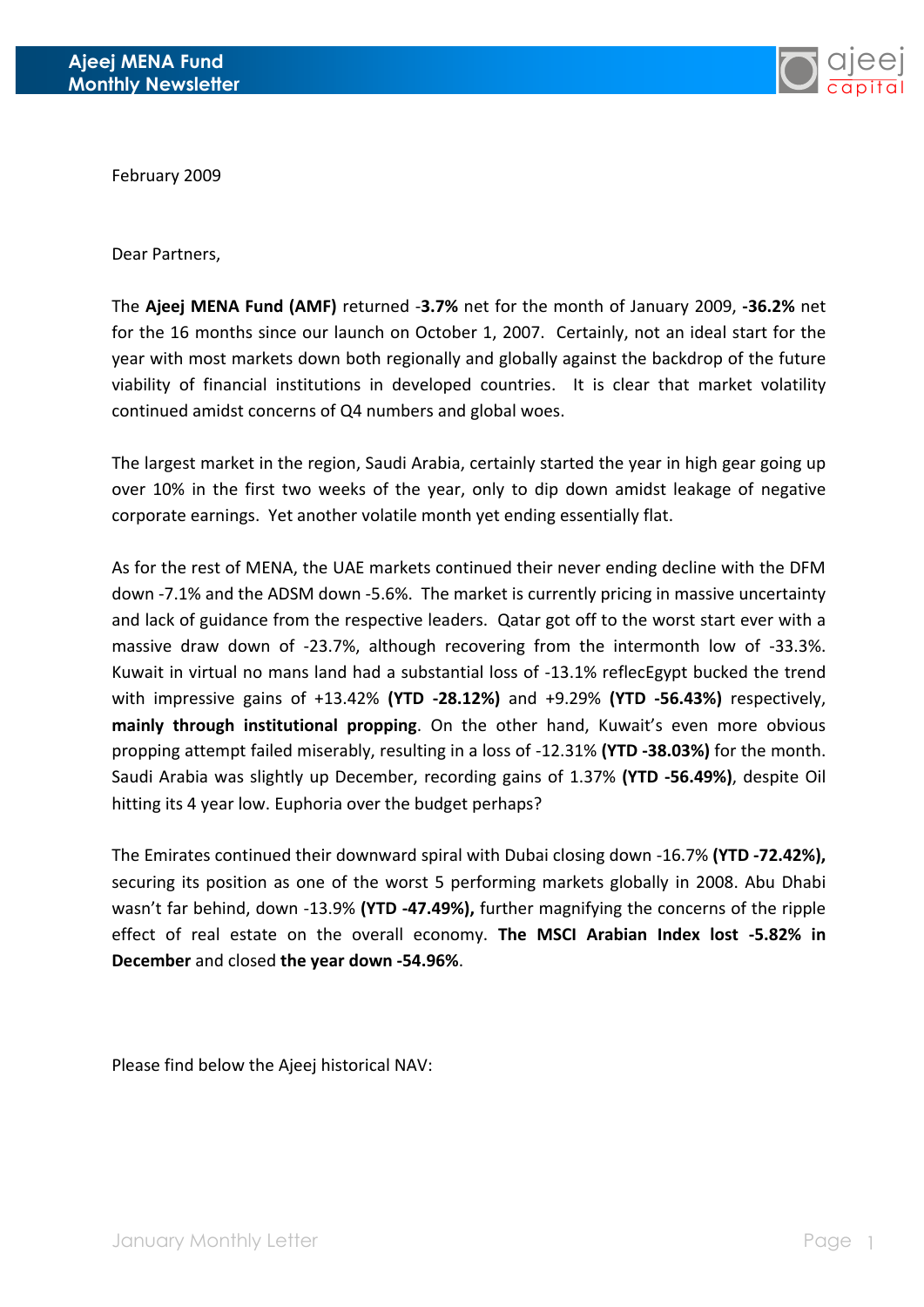

February 2009

Dear Partners,

The **Ajeej MENA Fund (AMF)** returned -**3.7%** net for the month of January 2009, **-36.2%** net for the 16 months since our launch on October 1, 2007. Certainly, not an ideal start for the year with most markets down both regionally and globally against the backdrop of the future viability of financial institutions in developed countries. It is clear that market volatility continued amidst concerns of Q4 numbers and global woes.

The largest market in the region, Saudi Arabia, certainly started the year in high gear going up over 10% in the first two weeks of the year, only to dip down amidst leakage of negative corporate earnings. Yet another volatile month yet ending essentially flat.

As for the rest of MENA, the UAE markets continued their never ending decline with the DFM down -7.1% and the ADSM down -5.6%. The market is currently pricing in massive uncertainty and lack of guidance from the respective leaders. Qatar got off to the worst start ever with a massive draw down of -23.7%, although recovering from the intermonth low of -33.3%. Kuwait in virtual no mans land had a substantial loss of -13.1% reflecEgypt bucked the trend with impressive gains of +13.42% **(YTD -28.12%)** and +9.29% **(YTD -56.43%)** respectively, **mainly through institutional propping**. On the other hand, Kuwait's even more obvious propping attempt failed miserably, resulting in a loss of -12.31% **(YTD -38.03%)** for the month. Saudi Arabia was slightly up December, recording gains of 1.37% **(YTD -56.49%)**, despite Oil hitting its 4 year low. Euphoria over the budget perhaps?

The Emirates continued their downward spiral with Dubai closing down -16.7% **(YTD -72.42%),**  securing its position as one of the worst 5 performing markets globally in 2008. Abu Dhabi wasn't far behind, down -13.9% **(YTD -47.49%),** further magnifying the concerns of the ripple effect of real estate on the overall economy. **The MSCI Arabian Index lost -5.82% in December** and closed **the year down -54.96%**.

Please find below the Ajeej historical NAV: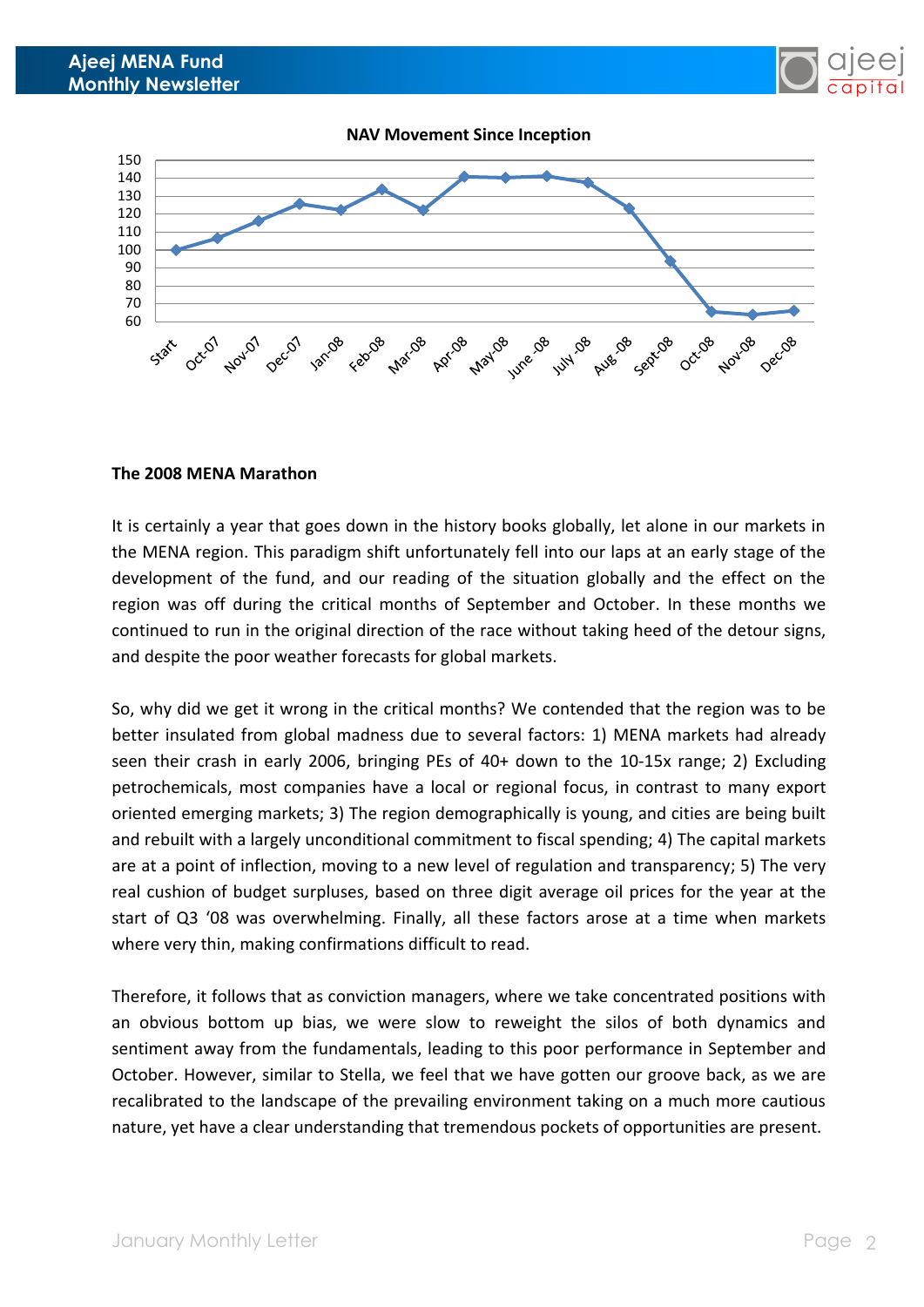



## **The 2008 MENA Marathon**

It is certainly a year that goes down in the history books globally, let alone in our markets in the MENA region. This paradigm shift unfortunately fell into our laps at an early stage of the development of the fund, and our reading of the situation globally and the effect on the region was off during the critical months of September and October. In these months we continued to run in the original direction of the race without taking heed of the detour signs, and despite the poor weather forecasts for global markets.

So, why did we get it wrong in the critical months? We contended that the region was to be better insulated from global madness due to several factors: 1) MENA markets had already seen their crash in early 2006, bringing PEs of 40+ down to the 10-15x range; 2) Excluding petrochemicals, most companies have a local or regional focus, in contrast to many export oriented emerging markets; 3) The region demographically is young, and cities are being built and rebuilt with a largely unconditional commitment to fiscal spending; 4) The capital markets are at a point of inflection, moving to a new level of regulation and transparency; 5) The very real cushion of budget surpluses, based on three digit average oil prices for the year at the start of Q3 '08 was overwhelming. Finally, all these factors arose at a time when markets where very thin, making confirmations difficult to read.

Therefore, it follows that as conviction managers, where we take concentrated positions with an obvious bottom up bias, we were slow to reweight the silos of both dynamics and sentiment away from the fundamentals, leading to this poor performance in September and October. However, similar to Stella, we feel that we have gotten our groove back, as we are recalibrated to the landscape of the prevailing environment taking on a much more cautious nature, yet have a clear understanding that tremendous pockets of opportunities are present.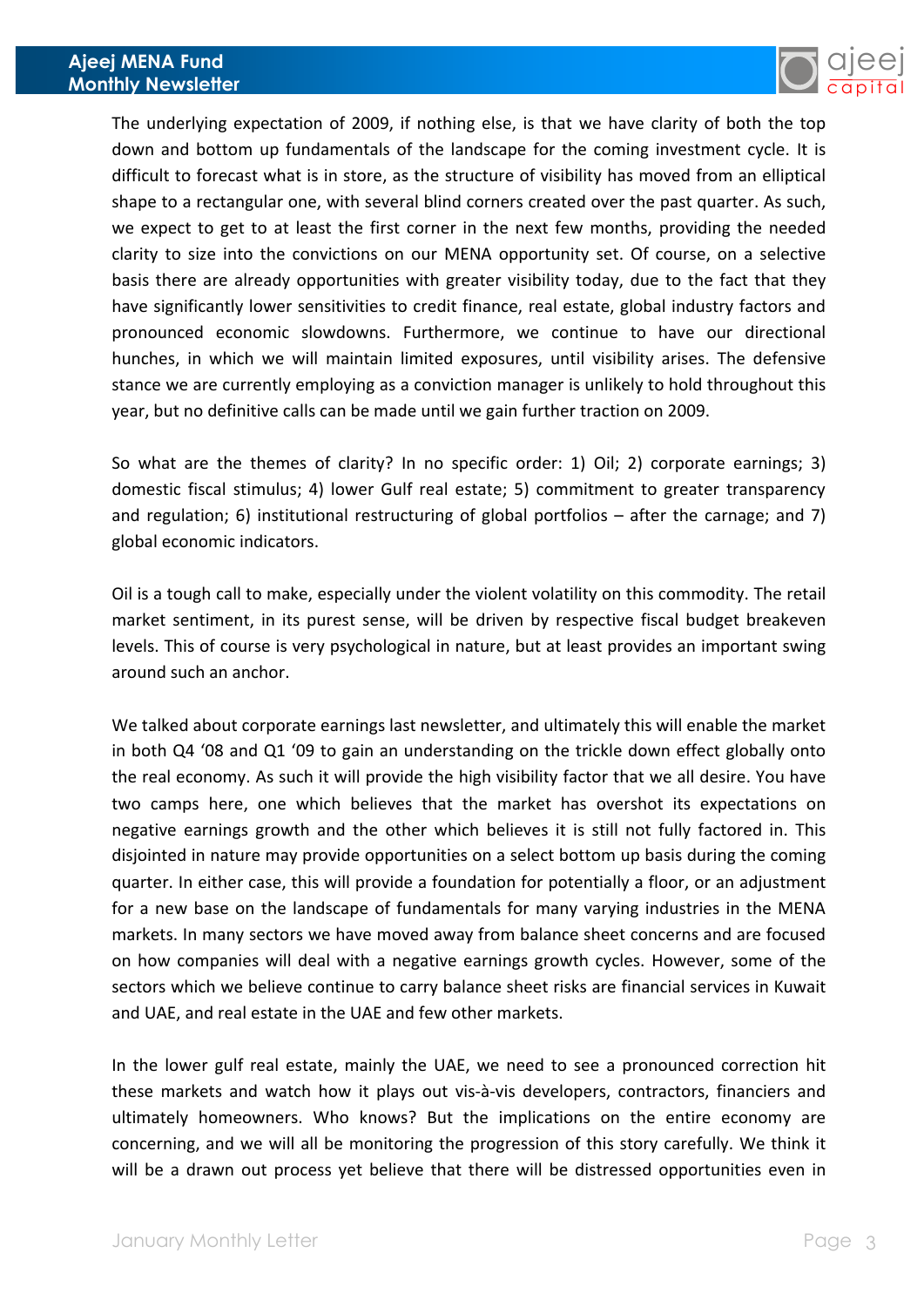

The underlying expectation of 2009, if nothing else, is that we have clarity of both the top down and bottom up fundamentals of the landscape for the coming investment cycle. It is difficult to forecast what is in store, as the structure of visibility has moved from an elliptical shape to a rectangular one, with several blind corners created over the past quarter. As such, we expect to get to at least the first corner in the next few months, providing the needed clarity to size into the convictions on our MENA opportunity set. Of course, on a selective basis there are already opportunities with greater visibility today, due to the fact that they have significantly lower sensitivities to credit finance, real estate, global industry factors and pronounced economic slowdowns. Furthermore, we continue to have our directional hunches, in which we will maintain limited exposures, until visibility arises. The defensive stance we are currently employing as a conviction manager is unlikely to hold throughout this year, but no definitive calls can be made until we gain further traction on 2009.

So what are the themes of clarity? In no specific order: 1) Oil; 2) corporate earnings; 3) domestic fiscal stimulus; 4) lower Gulf real estate; 5) commitment to greater transparency and regulation; 6) institutional restructuring of global portfolios – after the carnage; and 7) global economic indicators.

Oil is a tough call to make, especially under the violent volatility on this commodity. The retail market sentiment, in its purest sense, will be driven by respective fiscal budget breakeven levels. This of course is very psychological in nature, but at least provides an important swing around such an anchor.

We talked about corporate earnings last newsletter, and ultimately this will enable the market in both Q4 '08 and Q1 '09 to gain an understanding on the trickle down effect globally onto the real economy. As such it will provide the high visibility factor that we all desire. You have two camps here, one which believes that the market has overshot its expectations on negative earnings growth and the other which believes it is still not fully factored in. This disjointed in nature may provide opportunities on a select bottom up basis during the coming quarter. In either case, this will provide a foundation for potentially a floor, or an adjustment for a new base on the landscape of fundamentals for many varying industries in the MENA markets. In many sectors we have moved away from balance sheet concerns and are focused on how companies will deal with a negative earnings growth cycles. However, some of the sectors which we believe continue to carry balance sheet risks are financial services in Kuwait and UAE, and real estate in the UAE and few other markets.

In the lower gulf real estate, mainly the UAE, we need to see a pronounced correction hit these markets and watch how it plays out vis-à-vis developers, contractors, financiers and ultimately homeowners. Who knows? But the implications on the entire economy are concerning, and we will all be monitoring the progression of this story carefully. We think it will be a drawn out process yet believe that there will be distressed opportunities even in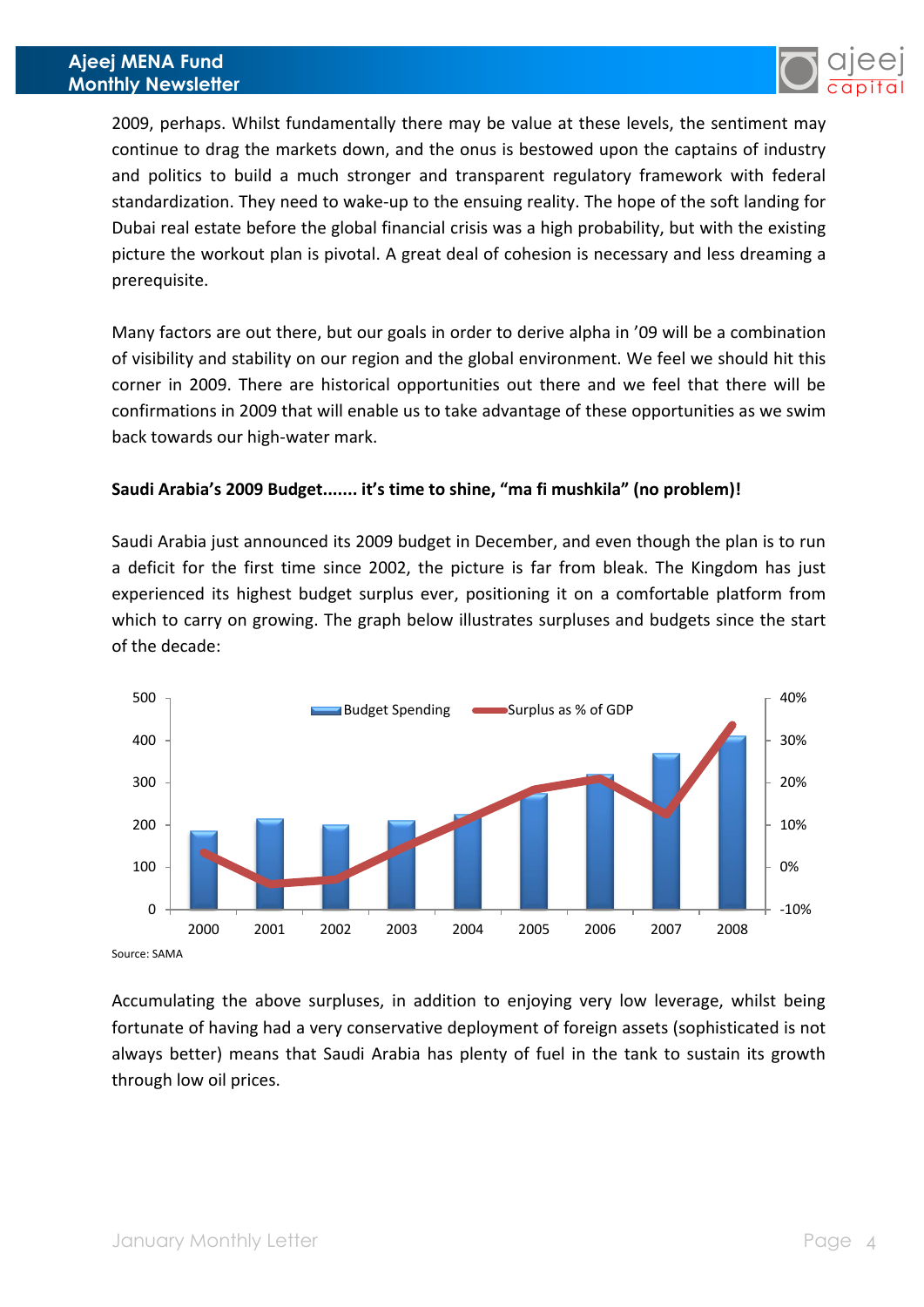

2009, perhaps. Whilst fundamentally there may be value at these levels, the sentiment may continue to drag the markets down, and the onus is bestowed upon the captains of industry and politics to build a much stronger and transparent regulatory framework with federal standardization. They need to wake-up to the ensuing reality. The hope of the soft landing for Dubai real estate before the global financial crisis was a high probability, but with the existing picture the workout plan is pivotal. A great deal of cohesion is necessary and less dreaming a prerequisite.

Many factors are out there, but our goals in order to derive alpha in '09 will be a combination of visibility and stability on our region and the global environment. We feel we should hit this corner in 2009. There are historical opportunities out there and we feel that there will be confirmations in 2009 that will enable us to take advantage of these opportunities as we swim back towards our high-water mark.

## **Saudi Arabia's 2009 Budget....... it's time to shine, "ma fi mushkila" (no problem)!**

Saudi Arabia just announced its 2009 budget in December, and even though the plan is to run a deficit for the first time since 2002, the picture is far from bleak. The Kingdom has just experienced its highest budget surplus ever, positioning it on a comfortable platform from which to carry on growing. The graph below illustrates surpluses and budgets since the start of the decade:



Source: SAMA

Accumulating the above surpluses, in addition to enjoying very low leverage, whilst being fortunate of having had a very conservative deployment of foreign assets (sophisticated is not always better) means that Saudi Arabia has plenty of fuel in the tank to sustain its growth through low oil prices.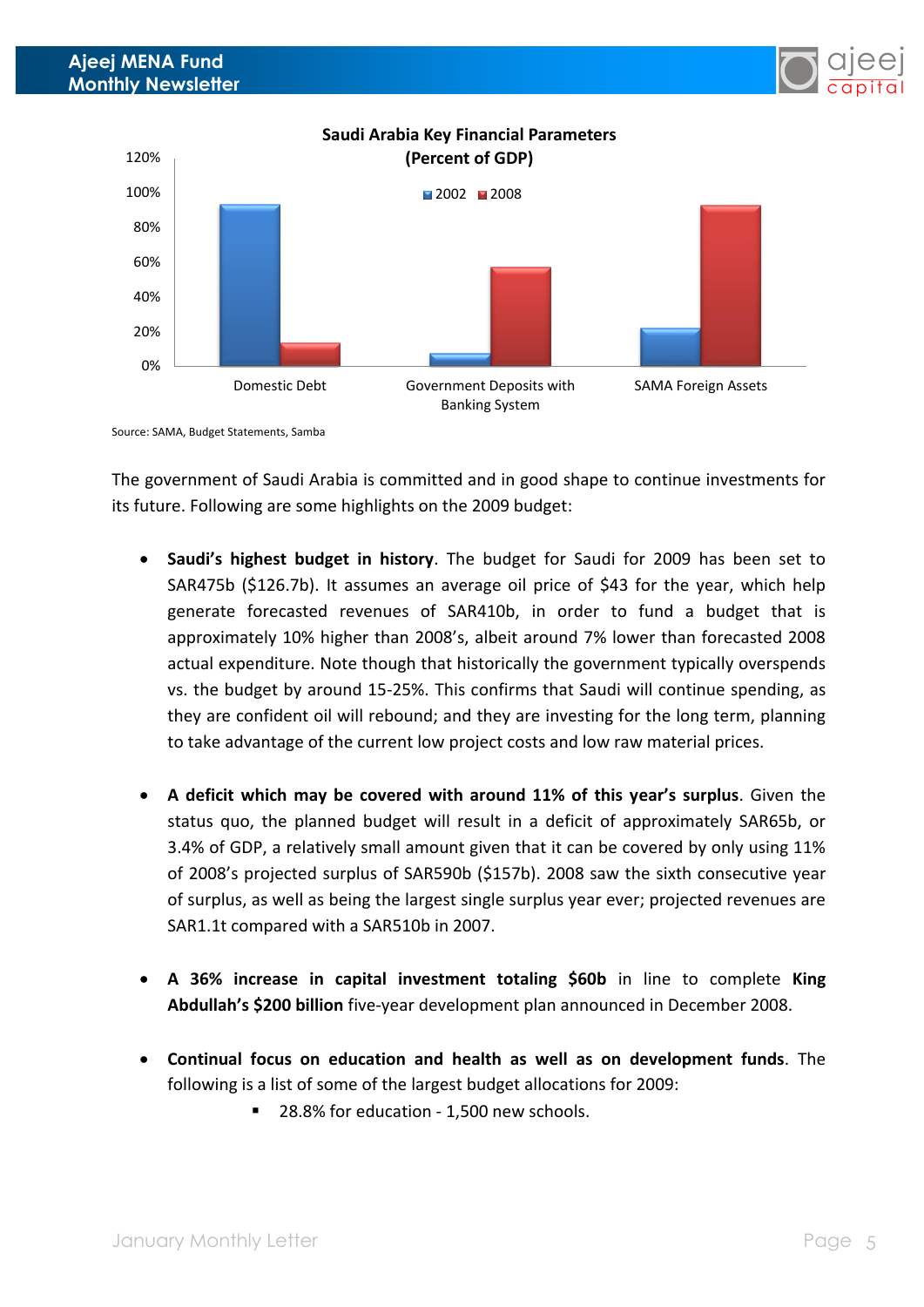

Source: SAMA, Budget Statements, Samba

The government of Saudi Arabia is committed and in good shape to continue investments for its future. Following are some highlights on the 2009 budget:

- **Saudi's highest budget in history**. The budget for Saudi for 2009 has been set to SAR475b (\$126.7b). It assumes an average oil price of \$43 for the year, which help generate forecasted revenues of SAR410b, in order to fund a budget that is approximately 10% higher than 2008's, albeit around 7% lower than forecasted 2008 actual expenditure. Note though that historically the government typically overspends vs. the budget by around 15-25%. This confirms that Saudi will continue spending, as they are confident oil will rebound; and they are investing for the long term, planning to take advantage of the current low project costs and low raw material prices.
- **A deficit which may be covered with around 11% of this year's surplus**. Given the status quo, the planned budget will result in a deficit of approximately SAR65b, or 3.4% of GDP, a relatively small amount given that it can be covered by only using 11% of 2008's projected surplus of SAR590b (\$157b). 2008 saw the sixth consecutive year of surplus, as well as being the largest single surplus year ever; projected revenues are SAR1.1t compared with a SAR510b in 2007.
- **A 36% increase in capital investment totaling \$60b** in line to complete **King Abdullah's \$200 billion** five-year development plan announced in December 2008.
- **Continual focus on education and health as well as on development funds**. The following is a list of some of the largest budget allocations for 2009:
	- 28.8% for education 1,500 new schools.

ajeej c a pit a l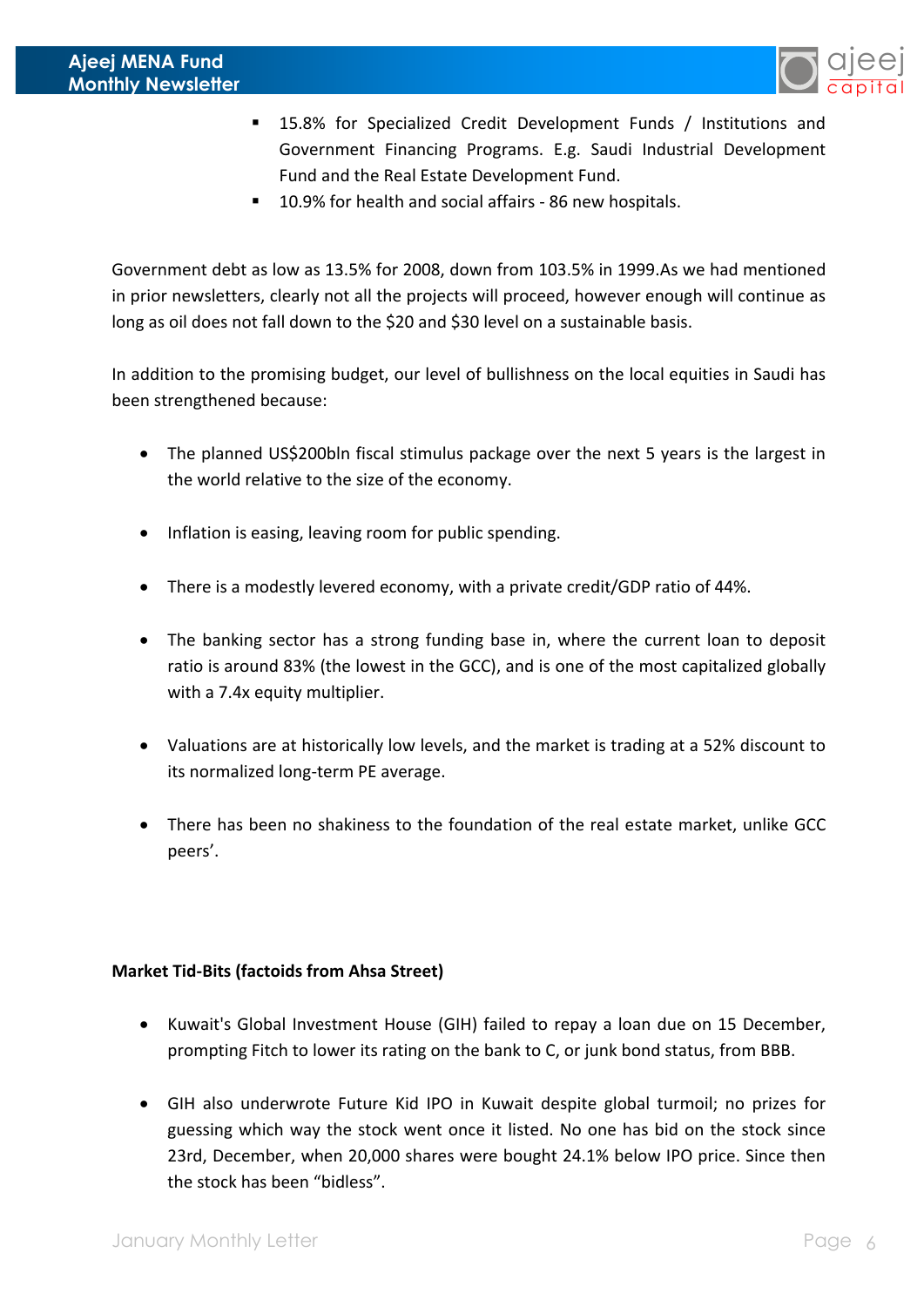

- 15.8% for Specialized Credit Development Funds / Institutions and Government Financing Programs. E.g. Saudi Industrial Development Fund and the Real Estate Development Fund.
- 10.9% for health and social affairs 86 new hospitals.

Government debt as low as 13.5% for 2008, down from 103.5% in 1999.As we had mentioned in prior newsletters, clearly not all the projects will proceed, however enough will continue as long as oil does not fall down to the \$20 and \$30 level on a sustainable basis.

In addition to the promising budget, our level of bullishness on the local equities in Saudi has been strengthened because:

- The planned US\$200bln fiscal stimulus package over the next 5 years is the largest in the world relative to the size of the economy.
- Inflation is easing, leaving room for public spending.
- There is a modestly levered economy, with a private credit/GDP ratio of 44%.
- The banking sector has a strong funding base in, where the current loan to deposit ratio is around 83% (the lowest in the GCC), and is one of the most capitalized globally with a 7.4x equity multiplier.
- Valuations are at historically low levels, and the market is trading at a 52% discount to its normalized long-term PE average.
- There has been no shakiness to the foundation of the real estate market, unlike GCC peers'.

# **Market Tid-Bits (factoids from Ahsa Street)**

- Kuwait's Global Investment House (GIH) failed to repay a loan due on 15 December, prompting Fitch to lower its rating on the bank to C, or junk bond status, from BBB.
- GIH also underwrote Future Kid IPO in Kuwait despite global turmoil; no prizes for guessing which way the stock went once it listed. No one has bid on the stock since 23rd, December, when 20,000 shares were bought 24.1% below IPO price. Since then the stock has been "bidless".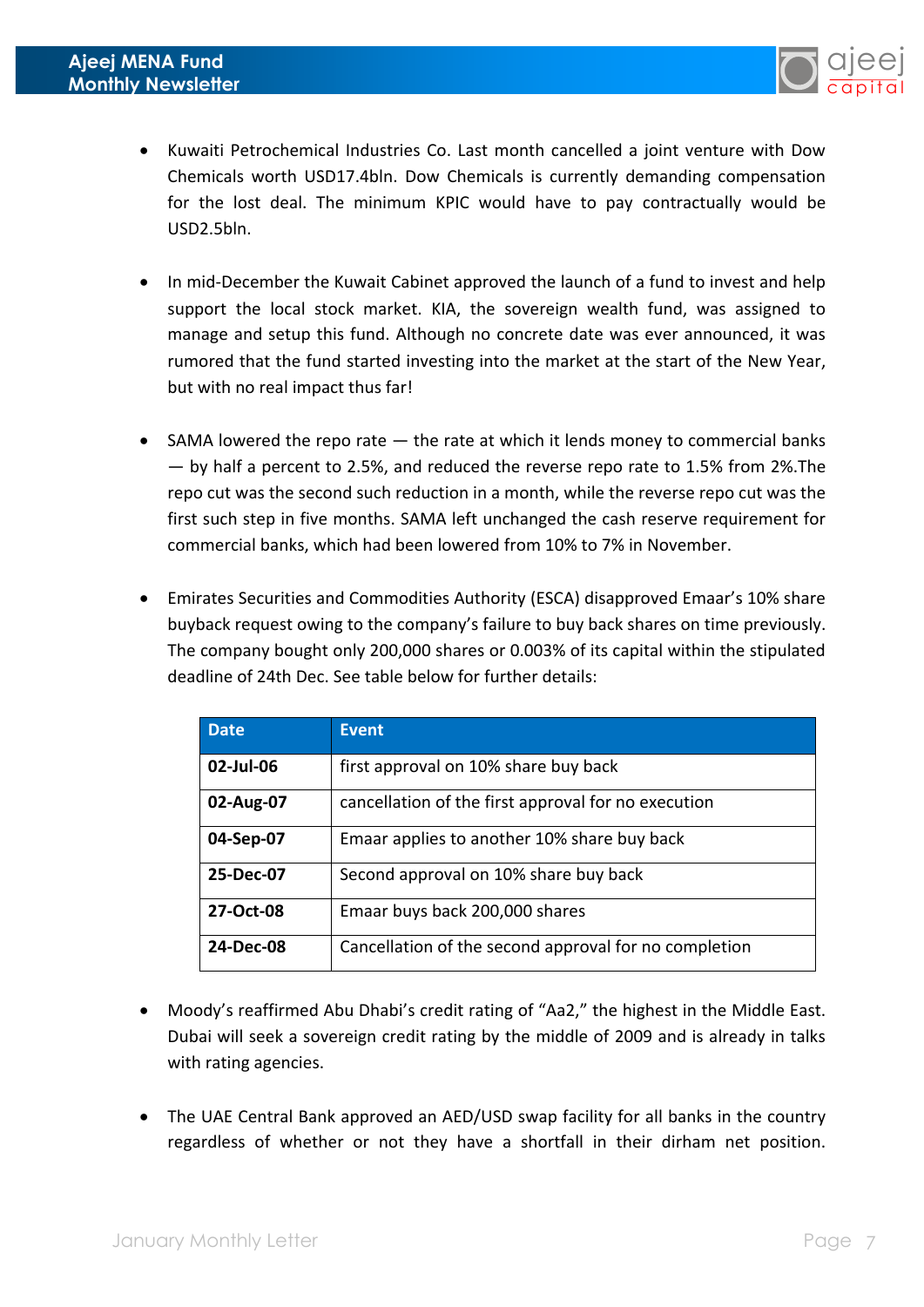

- Kuwaiti Petrochemical Industries Co. Last month cancelled a joint venture with Dow Chemicals worth USD17.4bln. Dow Chemicals is currently demanding compensation for the lost deal. The minimum KPIC would have to pay contractually would be USD2.5bln.
- In mid-December the Kuwait Cabinet approved the launch of a fund to invest and help support the local stock market. KIA, the sovereign wealth fund, was assigned to manage and setup this fund. Although no concrete date was ever announced, it was rumored that the fund started investing into the market at the start of the New Year, but with no real impact thus far!
- SAMA lowered the repo rate the rate at which it lends money to commercial banks — by half a percent to 2.5%, and reduced the reverse repo rate to 1.5% from 2%.The repo cut was the second such reduction in a month, while the reverse repo cut was the first such step in five months. SAMA left unchanged the cash reserve requirement for commercial banks, which had been lowered from 10% to 7% in November.
- Emirates Securities and Commodities Authority (ESCA) disapproved Emaar's 10% share buyback request owing to the company's failure to buy back shares on time previously. The company bought only 200,000 shares or 0.003% of its capital within the stipulated deadline of 24th Dec. See table below for further details:

| <b>Date</b> | <b>Event</b>                                          |
|-------------|-------------------------------------------------------|
| 02-Jul-06   | first approval on 10% share buy back                  |
| 02-Aug-07   | cancellation of the first approval for no execution   |
| 04-Sep-07   | Emaar applies to another 10% share buy back           |
| 25-Dec-07   | Second approval on 10% share buy back                 |
| 27-Oct-08   | Emaar buys back 200,000 shares                        |
| 24-Dec-08   | Cancellation of the second approval for no completion |

- Moody's reaffirmed Abu Dhabi's credit rating of "Aa2," the highest in the Middle East. Dubai will seek a sovereign credit rating by the middle of 2009 and is already in talks with rating agencies.
- The UAE Central Bank approved an AED/USD swap facility for all banks in the country regardless of whether or not they have a shortfall in their dirham net position.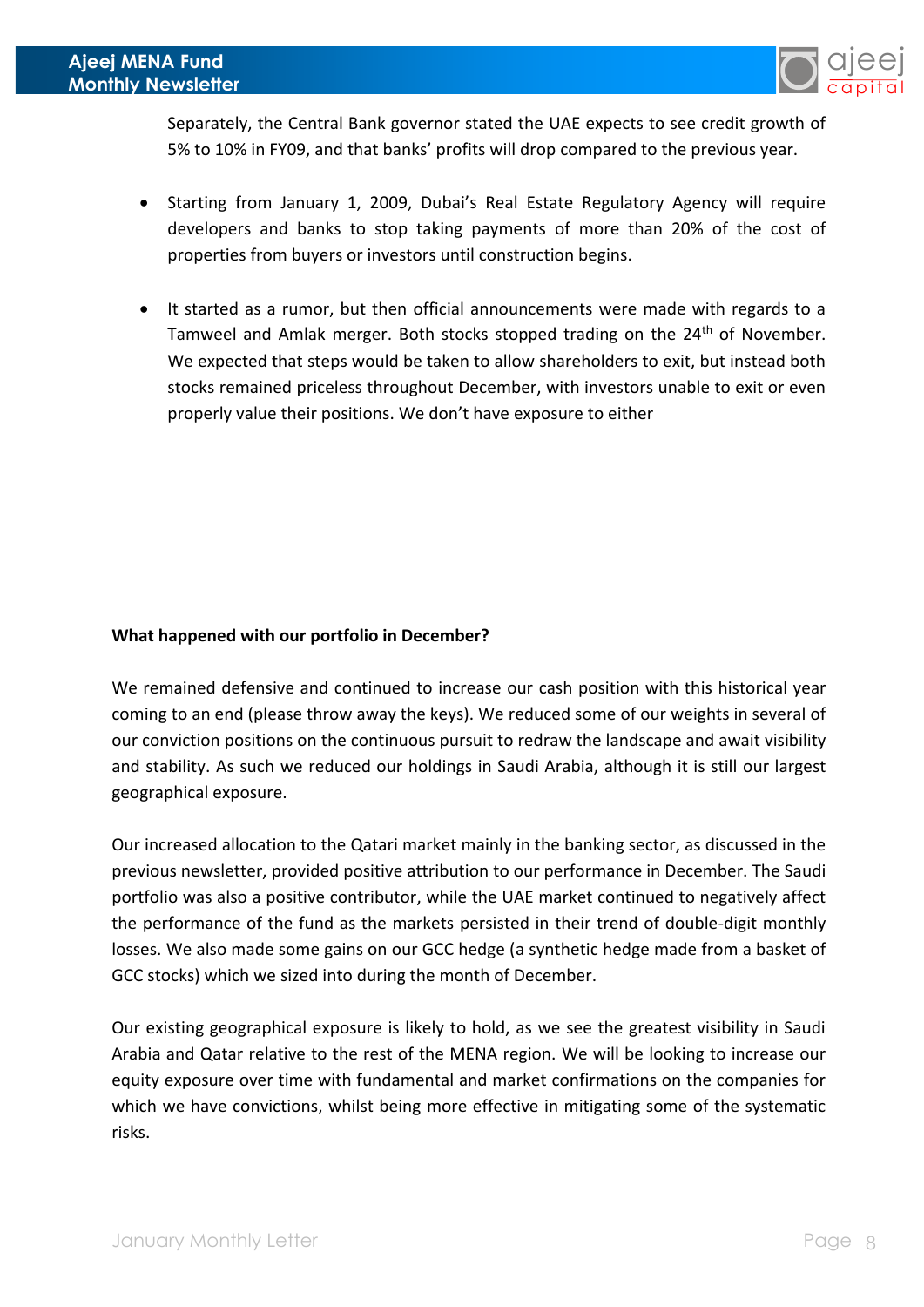

Separately, the Central Bank governor stated the UAE expects to see credit growth of 5% to 10% in FY09, and that banks' profits will drop compared to the previous year.

- Starting from January 1, 2009, Dubai's Real Estate Regulatory Agency will require developers and banks to stop taking payments of more than 20% of the cost of properties from buyers or investors until construction begins.
- It started as a rumor, but then official announcements were made with regards to a Tamweel and Amlak merger. Both stocks stopped trading on the 24<sup>th</sup> of November. We expected that steps would be taken to allow shareholders to exit, but instead both stocks remained priceless throughout December, with investors unable to exit or even properly value their positions. We don't have exposure to either

## **What happened with our portfolio in December?**

We remained defensive and continued to increase our cash position with this historical year coming to an end (please throw away the keys). We reduced some of our weights in several of our conviction positions on the continuous pursuit to redraw the landscape and await visibility and stability. As such we reduced our holdings in Saudi Arabia, although it is still our largest geographical exposure.

Our increased allocation to the Qatari market mainly in the banking sector, as discussed in the previous newsletter, provided positive attribution to our performance in December. The Saudi portfolio was also a positive contributor, while the UAE market continued to negatively affect the performance of the fund as the markets persisted in their trend of double-digit monthly losses. We also made some gains on our GCC hedge (a synthetic hedge made from a basket of GCC stocks) which we sized into during the month of December.

Our existing geographical exposure is likely to hold, as we see the greatest visibility in Saudi Arabia and Qatar relative to the rest of the MENA region. We will be looking to increase our equity exposure over time with fundamental and market confirmations on the companies for which we have convictions, whilst being more effective in mitigating some of the systematic risks.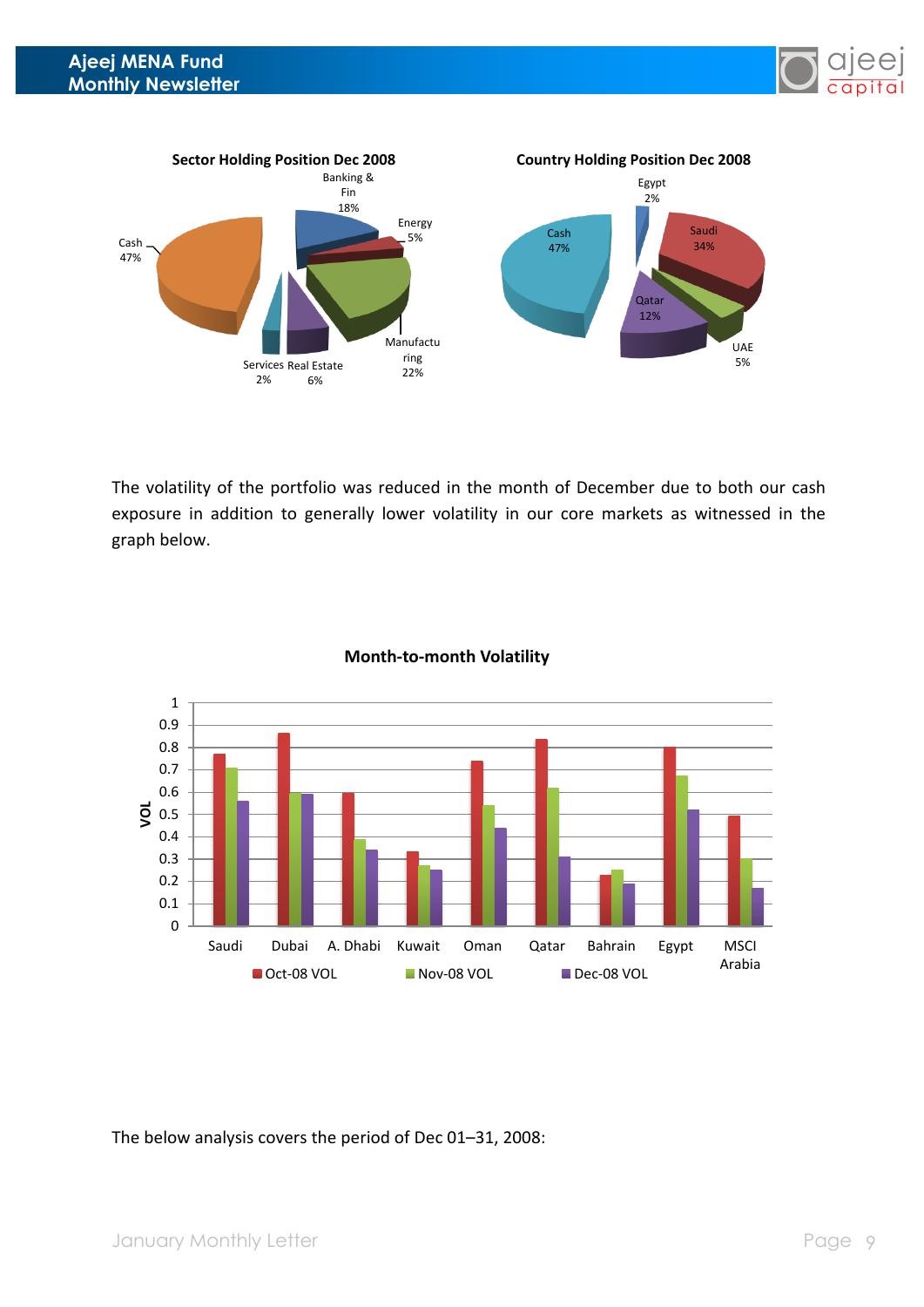



The volatility of the portfolio was reduced in the month of December due to both our cash exposure in addition to generally lower volatility in our core markets as witnessed in the graph below.



### **Month-to-month Volatility**

The below analysis covers the period of Dec 01–31, 2008: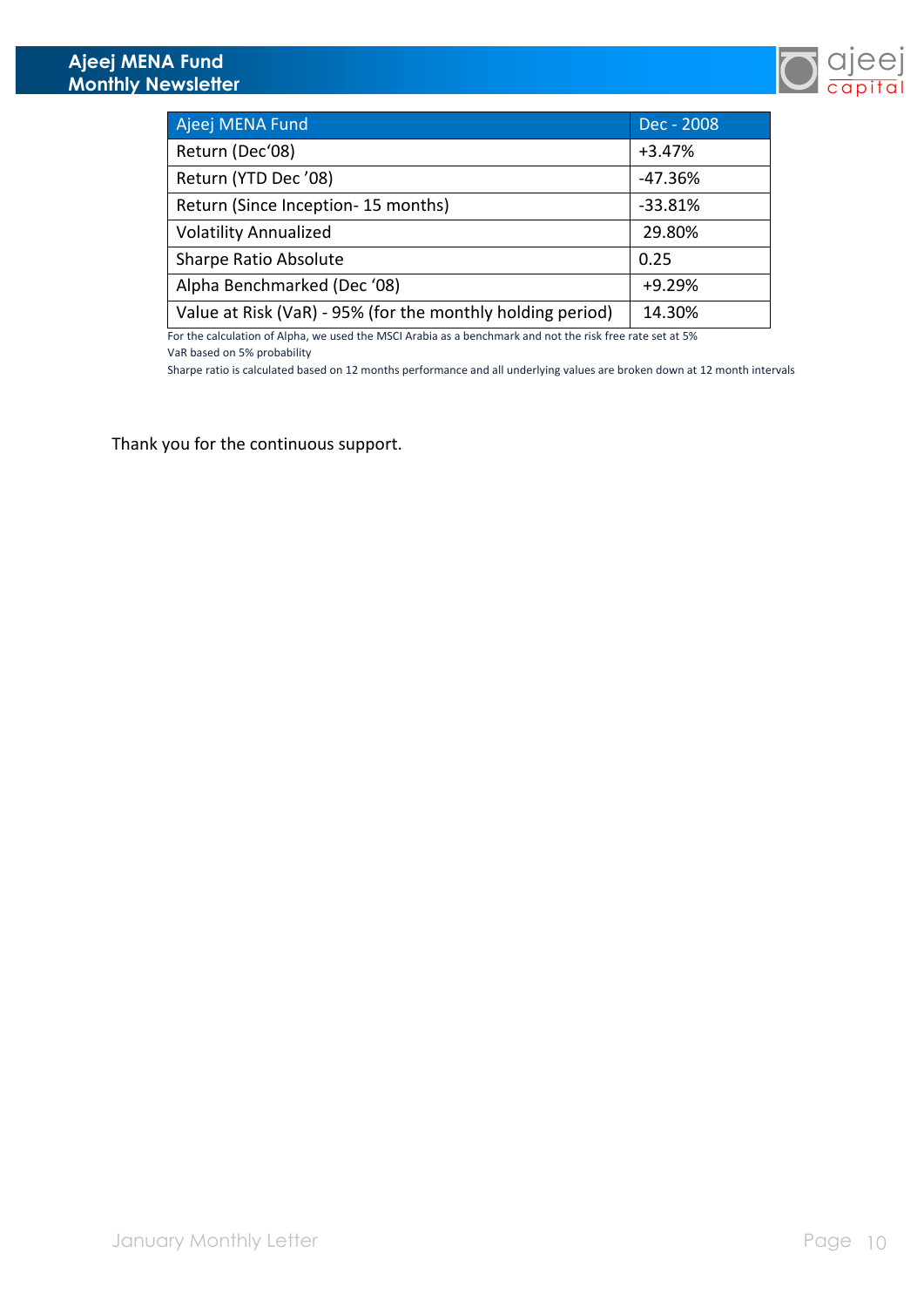

| Ajeej MENA Fund                                            | Dec - 2008 |
|------------------------------------------------------------|------------|
| Return (Dec'08)                                            | $+3.47%$   |
| Return (YTD Dec '08)                                       | $-47.36%$  |
| Return (Since Inception-15 months)                         | $-33.81%$  |
| <b>Volatility Annualized</b>                               | 29.80%     |
| <b>Sharpe Ratio Absolute</b>                               | 0.25       |
| Alpha Benchmarked (Dec '08)                                | $+9.29%$   |
| Value at Risk (VaR) - 95% (for the monthly holding period) | 14.30%     |
|                                                            |            |

For the calculation of Alpha, we used the MSCI Arabia as a benchmark and not the risk free rate set at 5% VaR based on 5% probability

Sharpe ratio is calculated based on 12 months performance and all underlying values are broken down at 12 month intervals

Thank you for the continuous support.